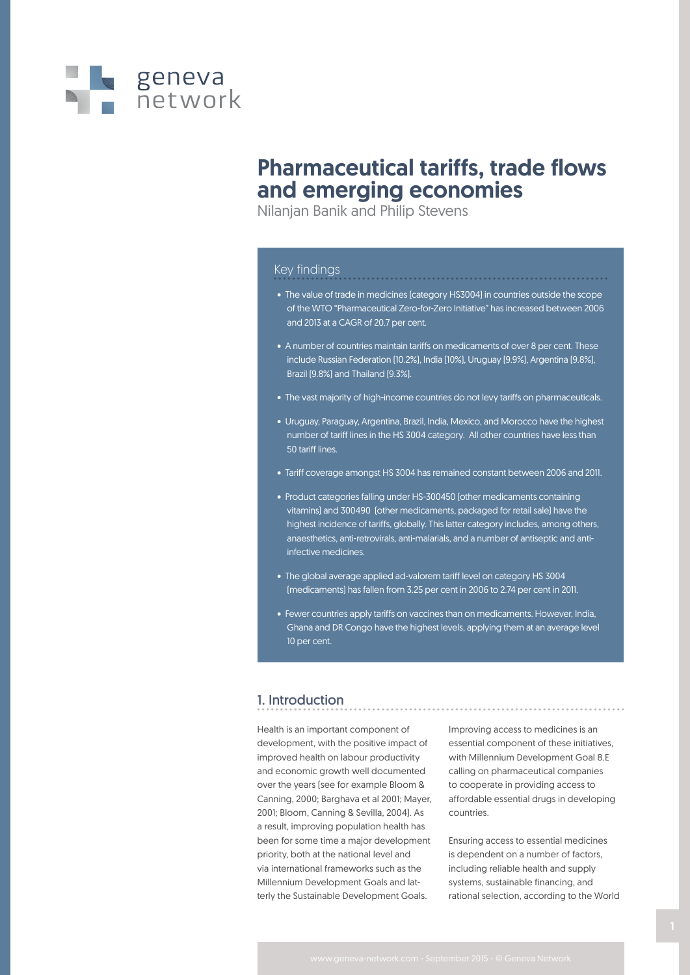

## Pharmaceutical tariffs, trade flows and emerging economies

Nilanjan Banik and Philip Stevens

### Key findings

- The value of trade in medicines (category HS3004) in countries outside the scope of the WTO "Pharmaceutical Zero-for-Zero Initiative" has increased between 2006 and 2013 at a CAGR of 20.7 per cent.
- A number of countries maintain tariffs on medicaments of over 8 per cent. These include Russian Federation (10.2%), India (10%), Uruguay (9.9%), Argentina (9.8%), Brazil (9.8%) and Thailand (9.3%).
- The vast majority of high-income countries do not levy tariffs on pharmaceuticals.
- Uruguay, Paraguay, Argentina, Brazil, India, Mexico, and Morocco have the highest number of tariff lines in the HS 3004 category. All other countries have less than 50 tariff lines.
- Tariff coverage amongst HS 3004 has remained constant between 2006 and 2011.
- Product categories falling under HS-300450 (other medicaments containing vitamins) and 300490 (other medicaments, packaged for retail sale) have the highest incidence of tariffs, globally. This latter category includes, among others, anaesthetics, anti-retrovirals, anti-malarials, and a number of antiseptic and antiinfective medicines.
- The global average applied ad-valorem tariff level on category HS 3004 (medicaments) has fallen from 3.25 per cent in 2006 to 2.74 per cent in 2011.
- Fewer countries apply tariffs on vaccines than on medicaments. However, India, Ghana and DR Congo have the highest levels, applying them at an average level 10 per cent.

### 1. Introduction

Health is an important component of development, with the positive impact of improved health on labour productivity and economic growth well documented over the years (see for example Bloom & Canning, 2000; Barghava et al 2001; Mayer, 2001; Bloom, Canning & Sevilla, 2004). As a result, improving population health has been for some time a major development priority, both at the national level and via international frameworks such as the Millennium Development Goals and latterly the Sustainable Development Goals.

Improving access to medicines is an essential component of these initiatives, with Millennium Development Goal 8.E calling on pharmaceutical companies to cooperate in providing access to affordable essential drugs in developing countries.

Ensuring access to essential medicines is dependent on a number of factors, including reliable health and supply systems, sustainable financing, and rational selection, according to the World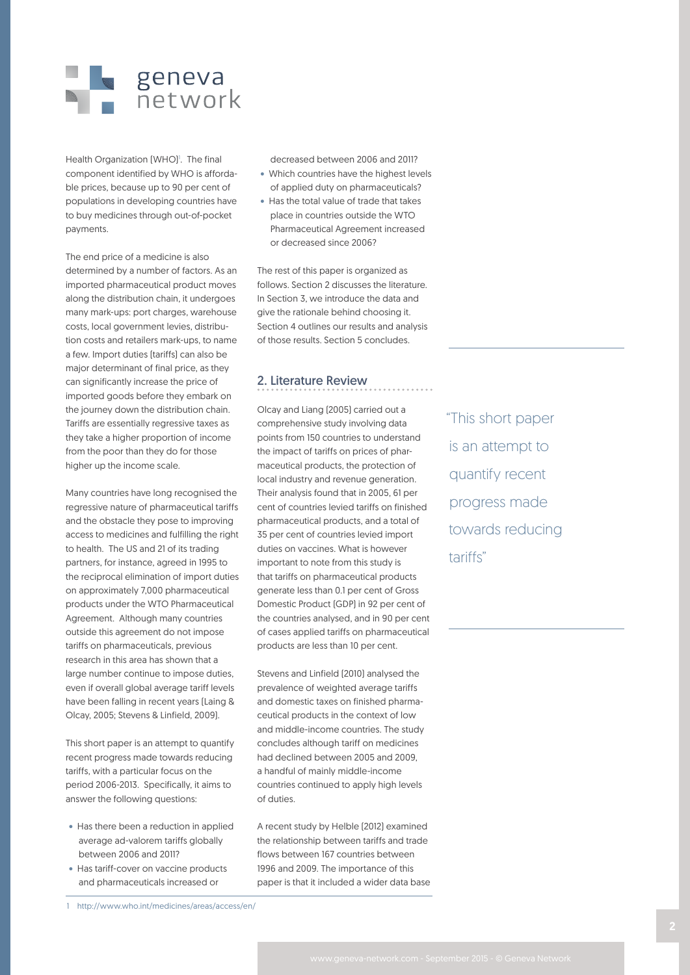

Health Organization (WHO)<sup>1</sup>. The final component identified by WHO is affordable prices, because up to 90 per cent of populations in developing countries have to buy medicines through out-of-pocket payments.

The end price of a medicine is also determined by a number of factors. As an imported pharmaceutical product moves along the distribution chain, it undergoes many mark-ups: port charges, warehouse costs, local government levies, distribution costs and retailers mark-ups, to name a few. Import duties (tariffs) can also be major determinant of final price, as they can significantly increase the price of imported goods before they embark on the journey down the distribution chain. Tariffs are essentially regressive taxes as they take a higher proportion of income from the poor than they do for those higher up the income scale.

Many countries have long recognised the regressive nature of pharmaceutical tariffs and the obstacle they pose to improving access to medicines and fulfilling the right to health. The US and 21 of its trading partners, for instance, agreed in 1995 to the reciprocal elimination of import duties on approximately 7,000 pharmaceutical products under the WTO Pharmaceutical Agreement. Although many countries outside this agreement do not impose tariffs on pharmaceuticals, previous research in this area has shown that a large number continue to impose duties, even if overall global average tariff levels have been falling in recent years (Laing & Olcay, 2005; Stevens & Linfield, 2009).

This short paper is an attempt to quantify recent progress made towards reducing tariffs, with a particular focus on the period 2006-2013. Specifically, it aims to answer the following questions:

- Has there been a reduction in applied average ad-valorem tariffs globally between 2006 and 2011?
- Has tariff-cover on vaccine products and pharmaceuticals increased or

decreased between 2006 and 2011?

- Which countries have the highest levels of applied duty on pharmaceuticals?
- Has the total value of trade that takes place in countries outside the WTO Pharmaceutical Agreement increased or decreased since 2006?

The rest of this paper is organized as follows. Section 2 discusses the literature. In Section 3, we introduce the data and give the rationale behind choosing it. Section 4 outlines our results and analysis of those results. Section 5 concludes.

### 2. Literature Review

Olcay and Liang (2005) carried out a comprehensive study involving data points from 150 countries to understand the impact of tariffs on prices of pharmaceutical products, the protection of local industry and revenue generation. Their analysis found that in 2005, 61 per cent of countries levied tariffs on finished pharmaceutical products, and a total of 35 per cent of countries levied import duties on vaccines. What is however important to note from this study is that tariffs on pharmaceutical products generate less than 0.1 per cent of Gross Domestic Product (GDP) in 92 per cent of the countries analysed, and in 90 per cent of cases applied tariffs on pharmaceutical products are less than 10 per cent.

Stevens and Linfield (2010) analysed the prevalence of weighted average tariffs and domestic taxes on finished pharmaceutical products in the context of low and middle-income countries. The study concludes although tariff on medicines had declined between 2005 and 2009, a handful of mainly middle-income countries continued to apply high levels of duties.

A recent study by Helble (2012) examined the relationship between tariffs and trade flows between 167 countries between 1996 and 2009. The importance of this paper is that it included a wider data base "This short paper is an attempt to quantify recent progress made towards reducing tariffs"

<sup>1</sup> http://www.who.int/medicines/areas/access/en/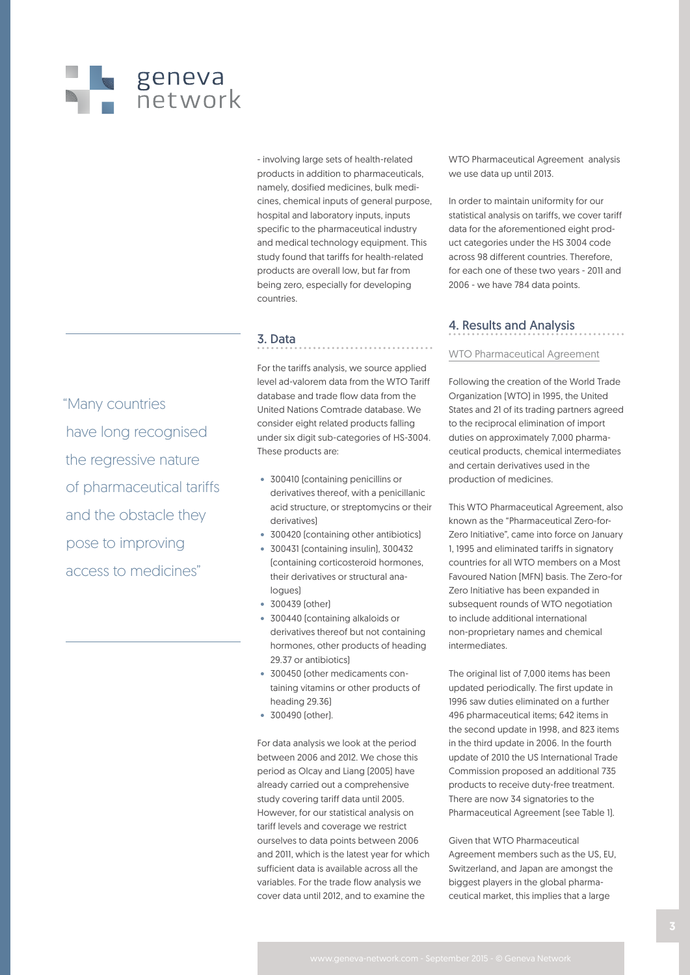# geneva<br>network

- involving large sets of health-related products in addition to pharmaceuticals, namely, dosified medicines, bulk medicines, chemical inputs of general purpose, hospital and laboratory inputs, inputs specific to the pharmaceutical industry and medical technology equipment. This study found that tariffs for health-related products are overall low, but far from being zero, especially for developing countries.

## 3. Data

For the tariffs analysis, we source applied level ad-valorem data from the WTO Tariff database and trade flow data from the United Nations Comtrade database. We consider eight related products falling under six digit sub-categories of HS-3004. These products are:

- 300410 (containing penicillins or derivatives thereof, with a penicillanic acid structure, or streptomycins or their derivatives)
- 300420 (containing other antibiotics)
- 300431 (containing insulin), 300432 (containing corticosteroid hormones, their derivatives or structural analogues)
- 300439 (other)
- 300440 (containing alkaloids or derivatives thereof but not containing hormones, other products of heading 29.37 or antibiotics)
- 300450 (other medicaments containing vitamins or other products of heading 29.36)
- 300490 (other).

For data analysis we look at the period between 2006 and 2012. We chose this period as Olcay and Liang (2005) have already carried out a comprehensive study covering tariff data until 2005. However, for our statistical analysis on tariff levels and coverage we restrict ourselves to data points between 2006 and 2011, which is the latest year for which sufficient data is available across all the variables. For the trade flow analysis we cover data until 2012, and to examine the

WTO Pharmaceutical Agreement analysis we use data up until 2013.

In order to maintain uniformity for our statistical analysis on tariffs, we cover tariff data for the aforementioned eight product categories under the HS 3004 code across 98 different countries. Therefore, for each one of these two years - 2011 and 2006 - we have 784 data points.

## 4. Results and Analysis

#### WTO Pharmaceutical Agreement

Following the creation of the World Trade Organization (WTO) in 1995, the United States and 21 of its trading partners agreed to the reciprocal elimination of import duties on approximately 7,000 pharmaceutical products, chemical intermediates and certain derivatives used in the production of medicines.

This WTO Pharmaceutical Agreement, also known as the "Pharmaceutical Zero-for-Zero Initiative", came into force on January 1, 1995 and eliminated tariffs in signatory countries for all WTO members on a Most Favoured Nation (MFN) basis. The Zero-for Zero Initiative has been expanded in subsequent rounds of WTO negotiation to include additional international non-proprietary names and chemical intermediates.

The original list of 7,000 items has been updated periodically. The first update in 1996 saw duties eliminated on a further 496 pharmaceutical items; 642 items in the second update in 1998, and 823 items in the third update in 2006. In the fourth update of 2010 the US International Trade Commission proposed an additional 735 products to receive duty-free treatment. There are now 34 signatories to the Pharmaceutical Agreement (see Table 1).

Given that WTO Pharmaceutical Agreement members such as the US, EU, Switzerland, and Japan are amongst the biggest players in the global pharmaceutical market, this implies that a large

"Many countries have long recognised the regressive nature of pharmaceutical tariffs and the obstacle they pose to improving access to medicines"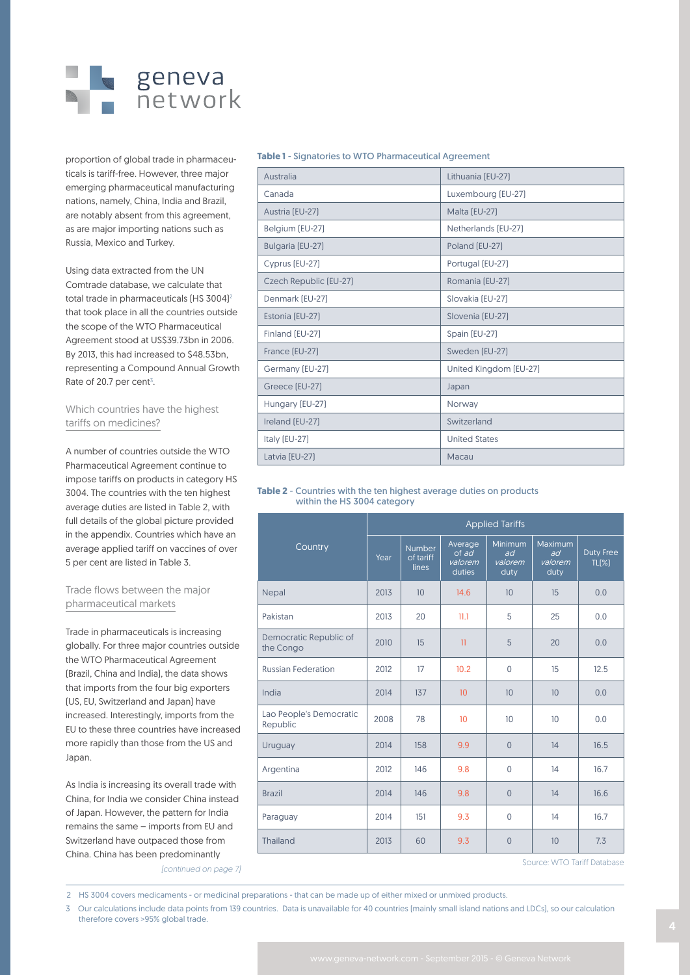

proportion of global trade in pharmaceuticals is tariff-free. However, three major emerging pharmaceutical manufacturing nations, namely, China, India and Brazil, are notably absent from this agreement, as are major importing nations such as Russia, Mexico and Turkey.

Using data extracted from the UN Comtrade database, we calculate that total trade in pharmaceuticals [HS 3004]<sup>2</sup> that took place in all the countries outside the scope of the WTO Pharmaceutical Agreement stood at US\$39.73bn in 2006. By 2013, this had increased to \$48.53bn, representing a Compound Annual Growth Rate of 20.7 per cent $3$ .

#### Which countries have the highest tariffs on medicines?

A number of countries outside the WTO Pharmaceutical Agreement continue to impose tariffs on products in category HS 3004. The countries with the ten highest average duties are listed in Table 2, with full details of the global picture provided in the appendix. Countries which have an average applied tariff on vaccines of over 5 per cent are listed in Table 3.

#### Trade flows between the major pharmaceutical markets

Trade in pharmaceuticals is increasing globally. For three major countries outside the WTO Pharmaceutical Agreement (Brazil, China and India), the data shows that imports from the four big exporters (US, EU, Switzerland and Japan) have increased. Interestingly, imports from the EU to these three countries have increased more rapidly than those from the US and Japan.

As India is increasing its overall trade with China, for India we consider China instead of Japan. However, the pattern for India remains the same – imports from EU and Switzerland have outpaced those from China. China has been predominantly *[continued on page 7]*

**Table 1** - Signatories to WTO Pharmaceutical Agreement

Australia Lithuania (EU-27)

| Canada                 | Luxembourg (EU-27)     |
|------------------------|------------------------|
| Austria (EU-27)        | Malta (EU-27)          |
| Belgium (EU-27)        | Netherlands (EU-27)    |
| Bulgaria (EU-27)       | Poland [EU-27]         |
| Cyprus [EU-27]         | Portugal (EU-27)       |
| Czech Republic [EU-27] | Romania (EU-27)        |
| Denmark (EU-27)        | Slovakia [EU-27]       |
| Estonia (EU-27)        | Slovenia (EU-27)       |
| Finland (EU-27)        | Spain [EU-27]          |
| France [EU-27]         | Sweden [EU-27]         |
| Germany [EU-27]        | United Kingdom [EU-27] |
| Greece [EU-27]         | Japan                  |
| Hungary (EU-27)        | Norway                 |
| Ireland [EU-27]        | Switzerland            |
| Italy (EU-27)          | <b>United States</b>   |
| Latvia (EU-27)         | Macau                  |

#### **Table 2** - Countries with the ten highest average duties on products within the HS 3004 category

|                                     | <b>Applied Tariffs</b> |                                     |                                       |                                  |                                  |                           |  |  |
|-------------------------------------|------------------------|-------------------------------------|---------------------------------------|----------------------------------|----------------------------------|---------------------------|--|--|
| Country                             | Year                   | <b>Number</b><br>of tariff<br>lines | Average<br>of ad<br>valorem<br>duties | Minimum<br>ad<br>valorem<br>duty | Maximum<br>ad<br>valorem<br>duty | <b>Duty Free</b><br>TL(X) |  |  |
| Nepal                               | 2013                   | 10                                  | 14.6                                  | 10                               | 15                               | 0.0                       |  |  |
| Pakistan                            | 2013                   | 20                                  | 11.1                                  | 5                                | 25                               | 0.0                       |  |  |
| Democratic Republic of<br>the Congo | 2010                   | 15                                  | 11                                    | 5                                | 20                               | 0.0                       |  |  |
| <b>Russian Federation</b>           | 2012                   | 17                                  | 10.2                                  | 0                                | 15                               | 12.5                      |  |  |
| India                               | 2014                   | 137                                 | 10                                    | 10                               | 10                               | 0.0                       |  |  |
| Lao People's Democratic<br>Republic | 2008                   | 78                                  | 10                                    | 10 <sup>10</sup>                 | 10                               | 0.0                       |  |  |
| Uruguay                             | 2014                   | 158                                 | 9.9                                   | $\overline{0}$                   | 14                               | 16.5                      |  |  |
| Argentina                           | 2012                   | 146                                 | 9.8                                   | 0                                | 14                               | 16.7                      |  |  |
| <b>Brazil</b>                       | 2014                   | 146                                 | 9.8                                   | $\Omega$                         | 14                               | 16.6                      |  |  |
| Paraguay                            | 2014                   | 151                                 | 9.3                                   | 0                                | 14                               | 16.7                      |  |  |
| Thailand                            | 2013                   | 60                                  | 9.3                                   | $\overline{0}$                   | 10                               | 7.3                       |  |  |
|                                     |                        |                                     |                                       |                                  | Source: WTO Tariff Database      |                           |  |  |

Source: WTO Tariff Database

2 HS 3004 covers medicaments - or medicinal preparations - that can be made up of either mixed or unmixed products.

3 Our calculations include data points from 139 countries. Data is unavailable for 40 countries (mainly small island nations and LDCs), so our calculation therefore covers >95% global trade. <sup>4</sup>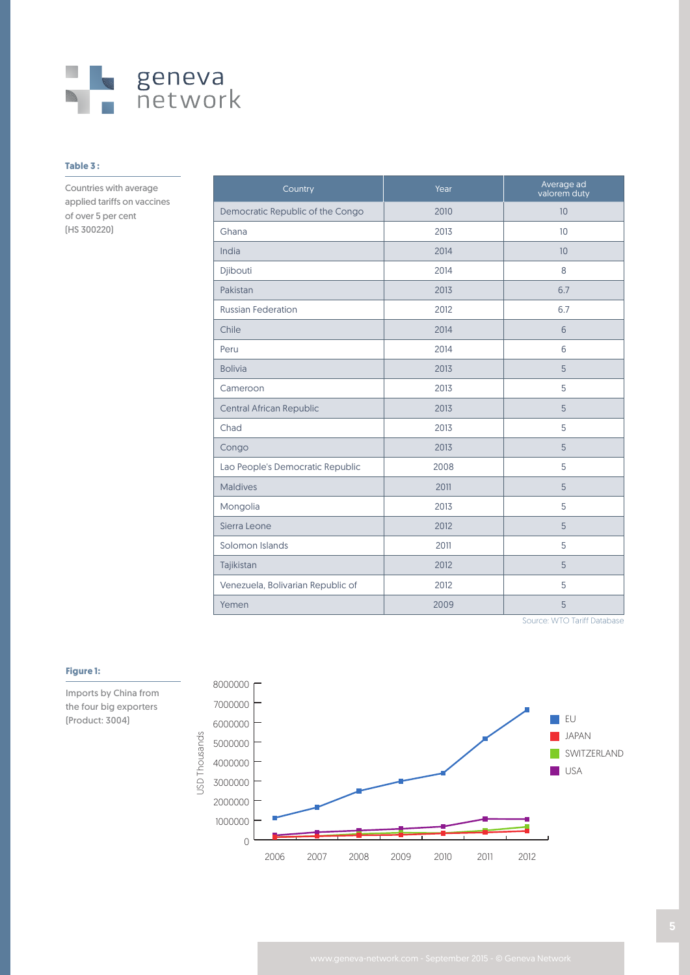

#### **Table 3 :**

Countries with average applied tariffs on vaccines of over 5 per cent (HS 300220)

| Country                           | Year | Average ad<br>valorem duty |
|-----------------------------------|------|----------------------------|
| Democratic Republic of the Congo  | 2010 | 10                         |
| Ghana                             | 2013 | 10                         |
| India                             | 2014 | 10                         |
| Djibouti                          | 2014 | 8                          |
| Pakistan                          | 2013 | 6.7                        |
| <b>Russian Federation</b>         | 2012 | 6.7                        |
| Chile                             | 2014 | 6                          |
| Peru                              | 2014 | 6                          |
| <b>Bolivia</b>                    | 2013 | 5                          |
| Cameroon                          | 2013 | 5                          |
| <b>Central African Republic</b>   | 2013 | 5                          |
| Chad                              | 2013 | 5                          |
| Congo                             | 2013 | 5                          |
| Lao People's Democratic Republic  | 2008 | 5                          |
| <b>Maldives</b>                   | 2011 | 5                          |
| Mongolia                          | 2013 | 5                          |
| Sierra Leone                      | 2012 | 5                          |
| Solomon Islands                   | 2011 | 5                          |
| Tajikistan                        | 2012 | 5                          |
| Venezuela, Bolivarian Republic of | 2012 | 5                          |
| Yemen                             | 2009 | 5                          |

Source: WTO Tariff Database



#### **Figure 1:**

Imports by China from the four big exporters (Product: 3004)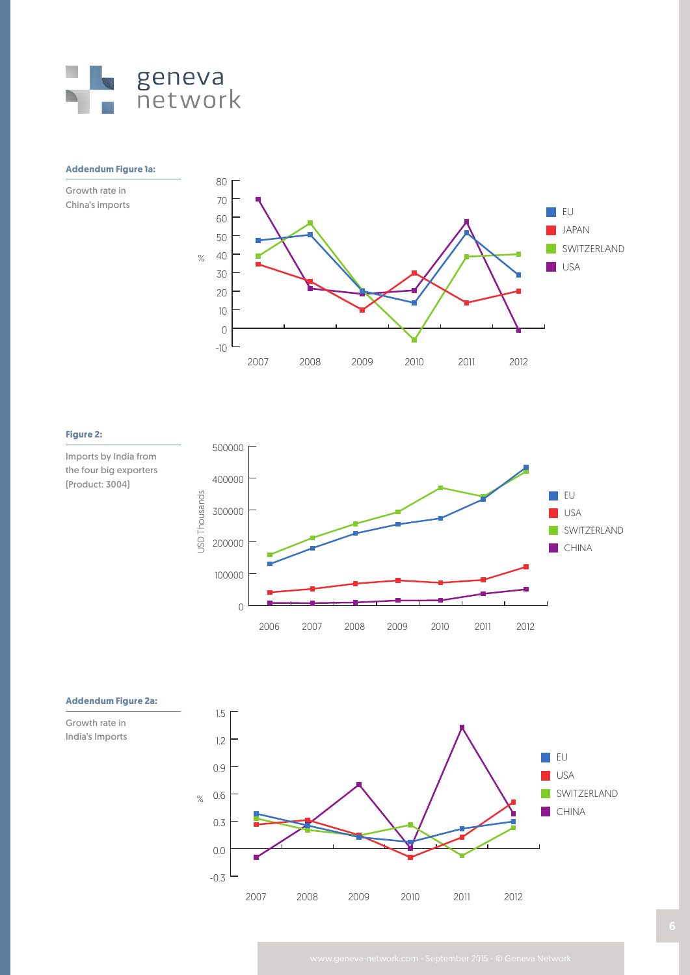

#### **Addendum Figure 1a:**

Growth rate in China's imports



#### **Figure 2:**

Imports by India from the four big exporters (Product: 3004)





**Addendum Figure 2a:**

Growth rate in

India's Imports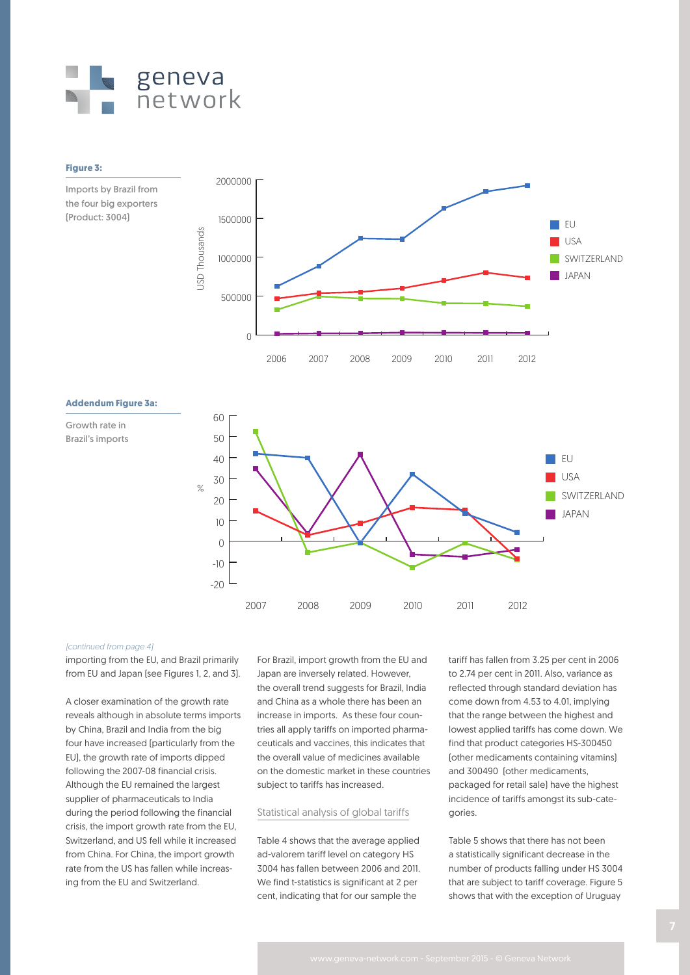

#### **Figure 3:**

Imports by Brazil from the four big exporters (Product: 3004)



#### **Addendum Figure 3a:**

Growth rate in Brazil's imports



#### *[continued from page 4]*

importing from the EU, and Brazil primarily from EU and Japan (see Figures 1, 2, and 3).

A closer examination of the growth rate reveals although in absolute terms imports by China, Brazil and India from the big four have increased (particularly from the EU), the growth rate of imports dipped following the 2007-08 financial crisis. Although the EU remained the largest supplier of pharmaceuticals to India during the period following the financial crisis, the import growth rate from the EU, Switzerland, and US fell while it increased from China. For China, the import growth rate from the US has fallen while increasing from the EU and Switzerland.

For Brazil, import growth from the EU and Japan are inversely related. However, the overall trend suggests for Brazil, India and China as a whole there has been an increase in imports. As these four countries all apply tariffs on imported pharmaceuticals and vaccines, this indicates that the overall value of medicines available on the domestic market in these countries subject to tariffs has increased.

#### Statistical analysis of global tariffs

Table 4 shows that the average applied ad-valorem tariff level on category HS 3004 has fallen between 2006 and 2011. We find t-statistics is significant at 2 per cent, indicating that for our sample the

tariff has fallen from 3.25 per cent in 2006 to 2.74 per cent in 2011. Also, variance as reflected through standard deviation has come down from 4.53 to 4.01, implying that the range between the highest and lowest applied tariffs has come down. We find that product categories HS-300450 (other medicaments containing vitamins) and 300490 (other medicaments, packaged for retail sale) have the highest incidence of tariffs amongst its sub-categories.

Table 5 shows that there has not been a statistically significant decrease in the number of products falling under HS 3004 that are subject to tariff coverage. Figure 5 shows that with the exception of Uruguay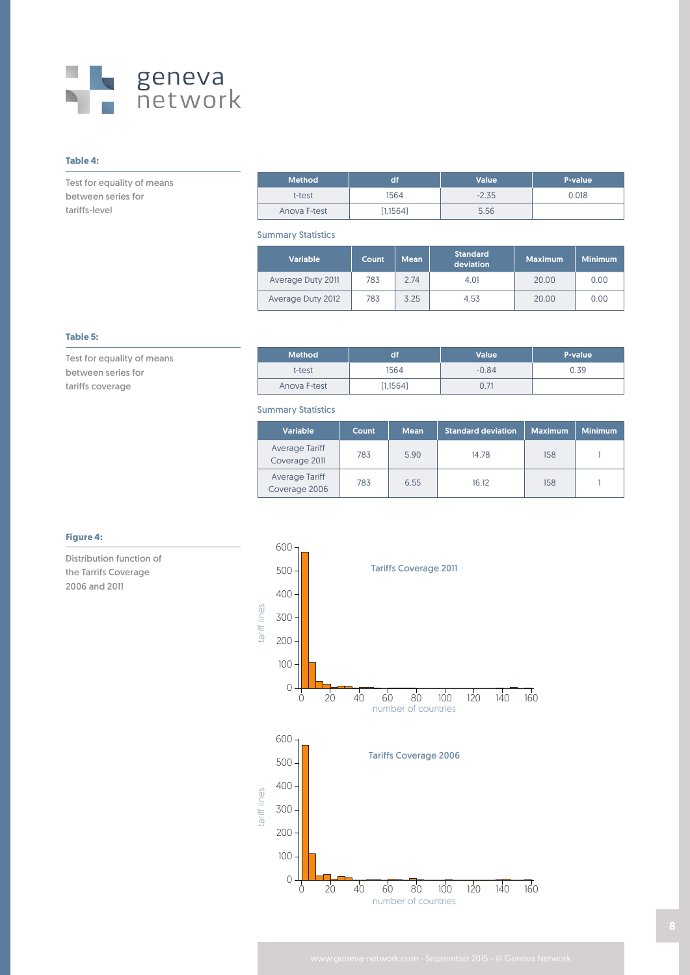

### **Table 4:**

Test for equality of means between series for tariffs-level

| <b>Method</b> | df       | Value   | P-value |
|---------------|----------|---------|---------|
| t-test        | 1564     | $-2.35$ | 0.018   |
| Anova F-test  | (1,1564) | 5.56    |         |

Summary Statistics

| <b>Variable</b>   | Count | <b>Mean</b> | Standard<br>deviation | <b>Maximum</b> | <b>Minimum</b> |
|-------------------|-------|-------------|-----------------------|----------------|----------------|
| Average Duty 2011 | 783   | 2.74        | 4.01                  | 20.00          | 0.00           |
| Average Duty 2012 | 783   | 3.25        | 4.53                  | 20.00          | 0.00           |

#### **Table 5:**

Test for equality of means between series for tariffs coverage

| Method <sup>1</sup> |           | <b>Value</b> | P-value |
|---------------------|-----------|--------------|---------|
| t-test              | 1564      | $-0.84$      | 0.39    |
| Anova F-test        | [1, 1564] |              |         |

#### Summary Statistics

| Variable                        | Count | <b>Mean</b> | <b>Standard deviation</b> | <b>Maximum</b> | <b>Minimum</b> |
|---------------------------------|-------|-------------|---------------------------|----------------|----------------|
| Average Tariff<br>Coverage 2011 | 783   | 5.90        | 14.78                     | 158            |                |
| Average Tariff<br>Coverage 2006 | 783   | 6.55        | 16.12                     | 158            |                |

#### **Figure 4:**

Distribution function of the Tarrifs Coverage 2006 and 2011

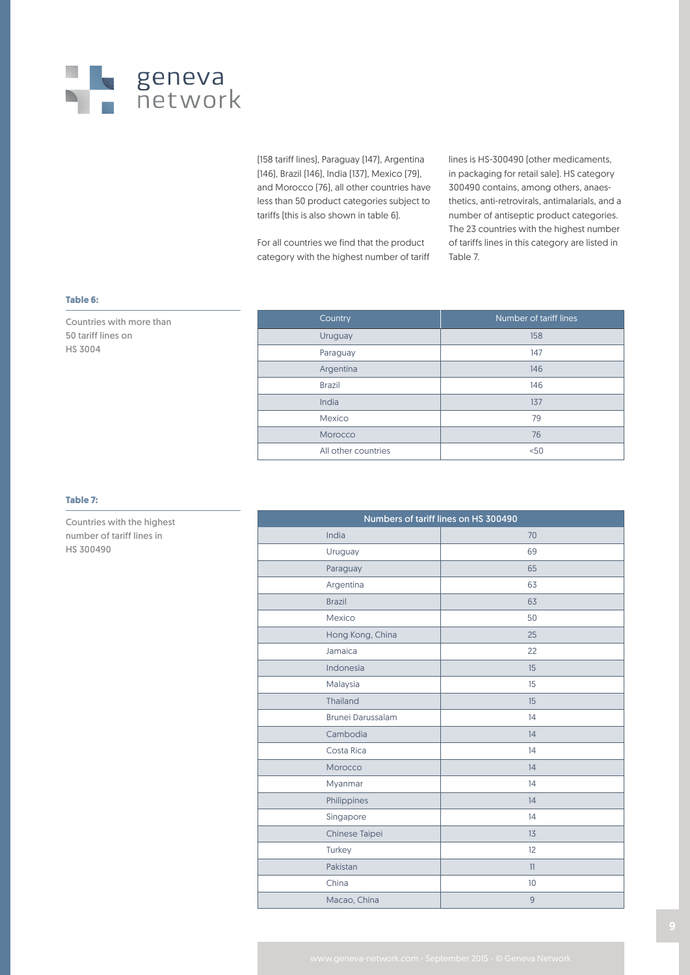

(158 tariff lines), Paraguay (147), Argentina (146), Brazil (146), India (137), Mexico (79), and Morocco (76), all other countries have less than 50 product categories subject to tariffs (this is also shown in table 6).

For all countries we find that the product category with the highest number of tariff lines is HS-300490 (other medicaments, in packaging for retail sale). HS category 300490 contains, among others, anaesthetics, anti-retrovirals, antimalarials, and a number of antiseptic product categories. The 23 countries with the highest number of tariffs lines in this category are listed in Table 7.

#### **Table 6:**

Countries with more than 50 tariff lines on HS 3004

| Country             | Number of tariff lines |
|---------------------|------------------------|
| Uruguay             | 158                    |
| Paraguay            | 147                    |
| Argentina           | 146                    |
| <b>Brazil</b>       | 146                    |
| India               | 137                    |
| Mexico              | 79                     |
| Morocco             | 76                     |
| All other countries | < 50                   |

#### **Table 7:**

Countries with the highest number of tariff lines in HS 300490

| Numbers of tariff lines on HS 300490 |                |  |  |  |  |
|--------------------------------------|----------------|--|--|--|--|
| India                                | 70             |  |  |  |  |
| Uruguay                              | 69             |  |  |  |  |
| Paraguay                             | 65             |  |  |  |  |
| Argentina                            | 63             |  |  |  |  |
| <b>Brazil</b>                        | 63             |  |  |  |  |
| Mexico                               | 50             |  |  |  |  |
| Hong Kong, China                     | 25             |  |  |  |  |
| Jamaica                              | 22             |  |  |  |  |
| Indonesia                            | 15             |  |  |  |  |
| Malaysia                             | 15             |  |  |  |  |
| Thailand                             | 15             |  |  |  |  |
| <b>Brunei Darussalam</b>             | 14             |  |  |  |  |
| Cambodia                             | 14             |  |  |  |  |
| Costa Rica                           | 14             |  |  |  |  |
| Morocco                              | 14             |  |  |  |  |
| Myanmar                              | 14             |  |  |  |  |
| Philippines                          | 14             |  |  |  |  |
| Singapore                            | 14             |  |  |  |  |
| Chinese Taipei                       | 13             |  |  |  |  |
| Turkey                               | 12             |  |  |  |  |
| Pakistan                             | 11             |  |  |  |  |
| China                                | 10             |  |  |  |  |
| Macao, China                         | $\overline{9}$ |  |  |  |  |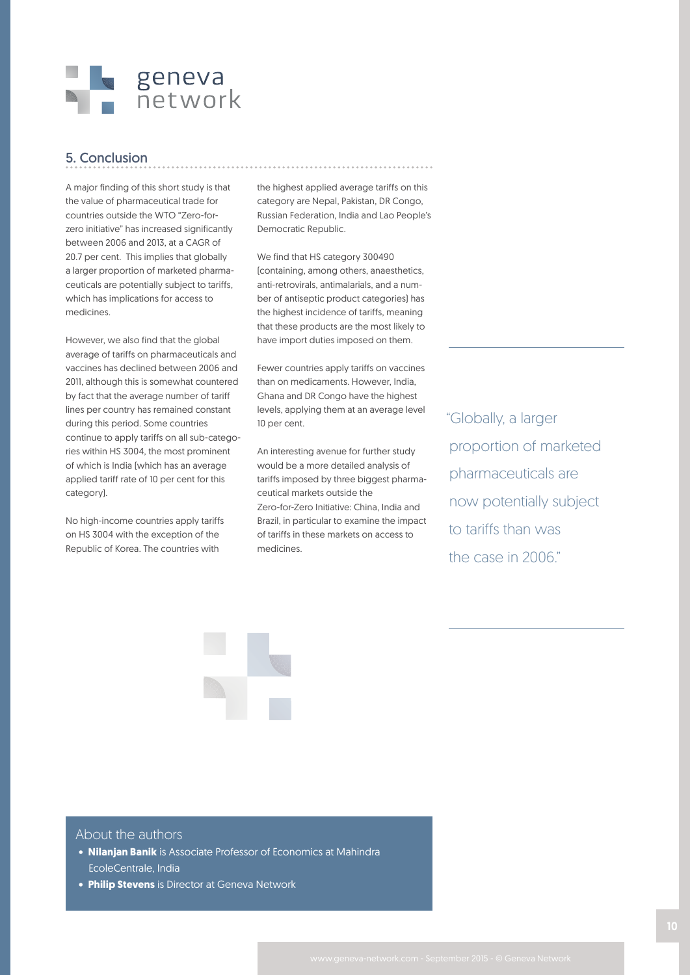

## 5. Conclusion

A major finding of this short study is that the value of pharmaceutical trade for countries outside the WTO "Zero-forzero initiative" has increased significantly between 2006 and 2013, at a CAGR of 20.7 per cent. This implies that globally a larger proportion of marketed pharmaceuticals are potentially subject to tariffs, which has implications for access to medicines.

However, we also find that the global average of tariffs on pharmaceuticals and vaccines has declined between 2006 and 2011, although this is somewhat countered by fact that the average number of tariff lines per country has remained constant during this period. Some countries continue to apply tariffs on all sub-categories within HS 3004, the most prominent of which is India (which has an average applied tariff rate of 10 per cent for this category).

No high-income countries apply tariffs on HS 3004 with the exception of the Republic of Korea. The countries with

the highest applied average tariffs on this category are Nepal, Pakistan, DR Congo, Russian Federation, India and Lao People's Democratic Republic.

We find that HS category 300490 (containing, among others, anaesthetics, anti-retrovirals, antimalarials, and a number of antiseptic product categories) has the highest incidence of tariffs, meaning that these products are the most likely to have import duties imposed on them.

Fewer countries apply tariffs on vaccines than on medicaments. However, India, Ghana and DR Congo have the highest levels, applying them at an average level 10 per cent.

An interesting avenue for further study would be a more detailed analysis of tariffs imposed by three biggest pharmaceutical markets outside the Zero-for-Zero Initiative: China, India and Brazil, in particular to examine the impact of tariffs in these markets on access to medicines.

"Globally, a larger proportion of marketed pharmaceuticals are now potentially subject to tariffs than was the case in 2006."



#### About the authors

- **Nilanjan Banik** is Associate Professor of Economics at Mahindra EcoleCentrale, India
- **Philip Stevens** is Director at Geneva Network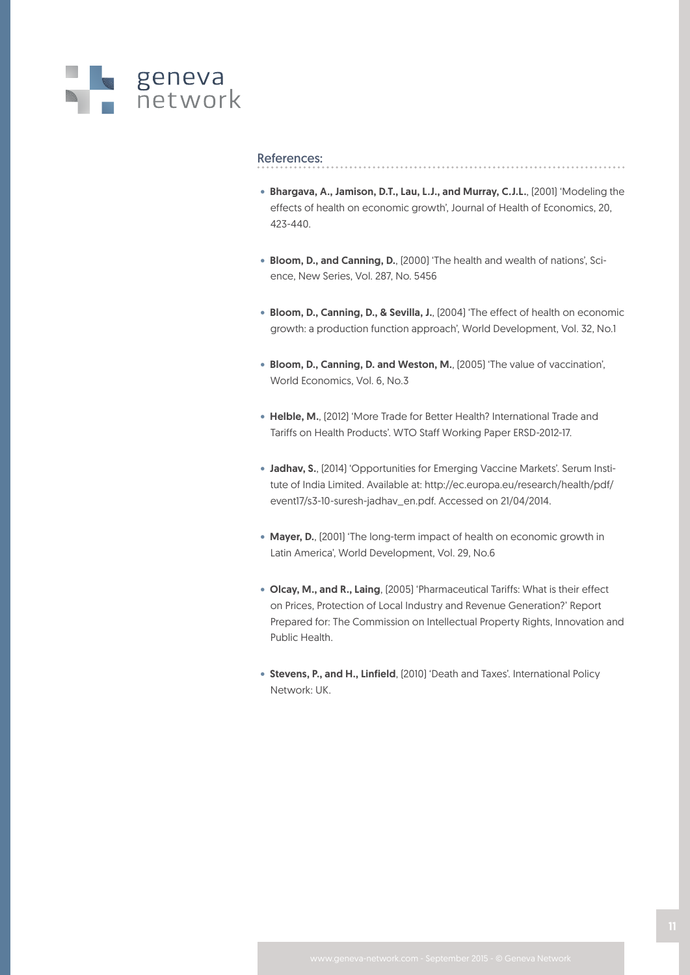

#### References:

- Bhargava, A., Jamison, D.T., Lau, L.J., and Murray, C.J.L., (2001) 'Modeling the effects of health on economic growth', Journal of Health of Economics, 20, 423-440.
- Bloom, D., and Canning, D., (2000) 'The health and wealth of nations', Science, New Series, Vol. 287, No. 5456
- Bloom, D., Canning, D., & Sevilla, J., (2004) 'The effect of health on economic growth: a production function approach', World Development, Vol. 32, No.1
- Bloom, D., Canning, D. and Weston, M., (2005) 'The value of vaccination', World Economics, Vol. 6, No.3
- Helble, M., (2012) 'More Trade for Better Health? International Trade and Tariffs on Health Products'. WTO Staff Working Paper ERSD-2012-17.
- Jadhav, S., (2014) 'Opportunities for Emerging Vaccine Markets'. Serum Institute of India Limited. Available at: http://ec.europa.eu/research/health/pdf/ event17/s3-10-suresh-jadhav\_en.pdf. Accessed on 21/04/2014.
- Mayer, D., (2001) 'The long-term impact of health on economic growth in Latin America', World Development, Vol. 29, No.6
- Olcay, M., and R., Laing, (2005) 'Pharmaceutical Tariffs: What is their effect on Prices, Protection of Local Industry and Revenue Generation?' Report Prepared for: The Commission on Intellectual Property Rights, Innovation and Public Health.
- Stevens, P., and H., Linfield, (2010) 'Death and Taxes'. International Policy Network: UK.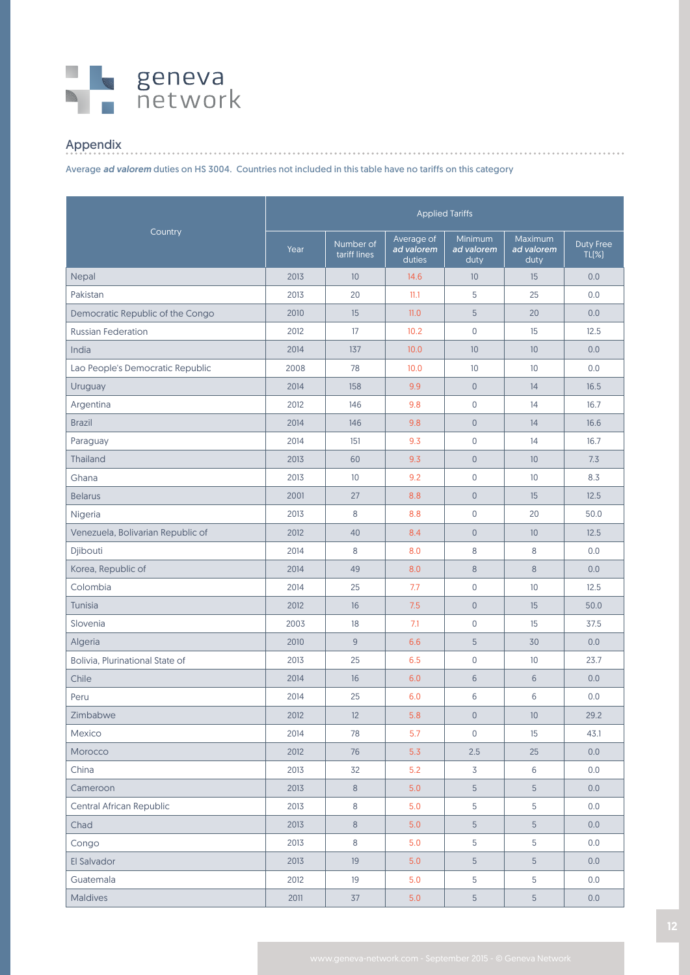## s geneva<br>Setwork

## Appendix

Average *ad valorem* duties on HS 3004. Countries not included in this table have no tariffs on this category

|                                   | <b>Applied Tariffs</b> |                           |                                    |                               |                                  |                       |  |
|-----------------------------------|------------------------|---------------------------|------------------------------------|-------------------------------|----------------------------------|-----------------------|--|
| Country                           | Year                   | Number of<br>tariff lines | Average of<br>ad valorem<br>duties | Minimum<br>ad valorem<br>duty | Maximum<br>ad valorem<br>$du$ ty | Duty Free<br>$TL(\%)$ |  |
| Nepal                             | 2013                   | 10                        | 14.6                               | 10                            | 15                               | 0.0                   |  |
| Pakistan                          | 2013                   | 20                        | 11.1                               | 5                             | 25                               | 0.0                   |  |
| Democratic Republic of the Congo  | 2010                   | 15                        | 11.0                               | 5                             | 20                               | 0.0                   |  |
| <b>Russian Federation</b>         | 2012                   | 17                        | 10.2                               | $\mathbf 0$                   | 15                               | 12.5                  |  |
| India                             | 2014                   | 137                       | 10.0                               | 10                            | 10                               | 0.0                   |  |
| Lao People's Democratic Republic  | 2008                   | 78                        | 10.0                               | 10                            | 10                               | 0.0                   |  |
| Uruguay                           | 2014                   | 158                       | 9.9                                | $\mathsf{O}\xspace$           | 14                               | 16.5                  |  |
| Argentina                         | 2012                   | 146                       | 9.8                                | $\mathsf 0$                   | 14                               | 16.7                  |  |
| <b>Brazil</b>                     | 2014                   | 146                       | 9.8                                | $\mathsf{O}\xspace$           | 14                               | 16.6                  |  |
| Paraguay                          | 2014                   | 151                       | 9.3                                | $\mathsf 0$                   | 14                               | 16.7                  |  |
| Thailand                          | 2013                   | 60                        | 9.3                                | $\mathsf{O}\xspace$           | 10                               | 7.3                   |  |
| Ghana                             | 2013                   | 10                        | 9.2                                | $\mathsf 0$                   | 10                               | 8.3                   |  |
| <b>Belarus</b>                    | 2001                   | 27                        | 8.8                                | $\mathsf{O}\xspace$           | 15                               | 12.5                  |  |
| Nigeria                           | 2013                   | 8                         | 8.8                                | $\mathsf 0$                   | 20                               | 50.0                  |  |
| Venezuela, Bolivarian Republic of | 2012                   | 40                        | 8.4                                | $\mathsf{O}$                  | 10                               | 12.5                  |  |
| Djibouti                          | 2014                   | 8                         | 8.0                                | 8                             | 8                                | 0.0                   |  |
| Korea, Republic of                | 2014                   | 49                        | 8.0                                | 8                             | $\,8\,$                          | 0.0                   |  |
| Colombia                          | 2014                   | 25                        | 7.7                                | $\mathsf 0$                   | 10                               | 12.5                  |  |
| Tunisia                           | 2012                   | 16                        | 7.5                                | $\theta$                      | 15                               | 50.0                  |  |
| Slovenia                          | 2003                   | 18                        | 7.1                                | $\mathbf 0$                   | 15                               | 37.5                  |  |
| Algeria                           | 2010                   | $\overline{9}$            | 6.6                                | 5                             | 30                               | 0.0                   |  |
| Bolivia, Plurinational State of   | 2013                   | 25                        | 6.5                                | $\mathsf{O}\xspace$           | 10                               | 23.7                  |  |
| Chile                             | 2014                   | 16                        | 6.0                                | 6                             | 6                                | 0.0                   |  |
| Peru                              | 2014                   | 25                        | 6.0                                | 6                             | 6                                | 0.0                   |  |
| Zimbabwe                          | 2012                   | 12                        | 5.8                                | $\mathsf{O}\xspace$           | $10$                             | 29.2                  |  |
| Mexico                            | 2014                   | 78                        | 5.7                                | 0                             | 15                               | 43.1                  |  |
| Morocco                           | 2012                   | 76                        | 5.3                                | 2.5                           | 25                               | 0.0                   |  |
| China                             | 2013                   | 32                        | 5.2                                | 3                             | 6                                | 0.0                   |  |
| Cameroon                          | 2013                   | $8\phantom{1}$            | 5.0                                | $\overline{5}$                | 5                                | 0.0                   |  |
| Central African Republic          | 2013                   | $\,8\,$                   | 5.0                                | 5                             | 5                                | 0.0                   |  |
| Chad                              | 2013                   | $8\phantom{1}$            | 5.0                                | $5\phantom{.}$                | $5\phantom{.}$                   | 0.0                   |  |
| Congo                             | 2013                   | $\,8\,$                   | 5.0                                | 5                             | 5                                | 0.0                   |  |
| El Salvador                       | 2013                   | 19                        | 5.0                                | $\sqrt{5}$                    | 5                                | 0.0                   |  |
| Guatemala                         | 2012                   | 19                        | 5.0                                | 5                             | 5                                | 0.0                   |  |
| Maldives                          | 2011                   | 37                        | 5.0                                | $5\phantom{.0}$               | 5                                | 0.0                   |  |